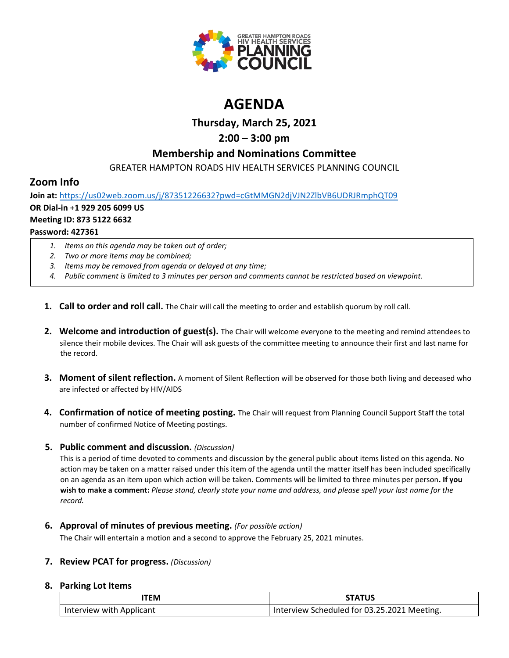

# **AGENDA**

# **Thursday, March 25, 2021**

# **2:00 – 3:00 pm**

## **Membership and Nominations Committee**

GREATER HAMPTON ROADS HIV HEALTH SERVICES PLANNING COUNCIL

# **Zoom Info**

**Join at:** <https://us02web.zoom.us/j/87351226632?pwd=cGtMMGN2djVJN2ZlbVB6UDRJRmphQT09> **OR Dial-in** +**1 929 205 6099 US Meeting ID: 873 5122 6632 Password: 427361**

- *1. Items on this agenda may be taken out of order;*
- *2. Two or more items may be combined;*
- *3. Items may be removed from agenda or delayed at any time;*
- *4. Public comment is limited to 3 minutes per person and comments cannot be restricted based on viewpoint.*
- **1. Call to order and roll call.** The Chair will call the meeting to order and establish quorum by roll call.
- **2. Welcome and introduction of guest(s).** The Chair will welcome everyone to the meeting and remind attendees to silence their mobile devices. The Chair will ask guests of the committee meeting to announce their first and last name for the record.
- **3. Moment of silent reflection.** A moment of Silent Reflection will be observed for those both living and deceased who are infected or affected by HIV/AIDS
- **4. Confirmation of notice of meeting posting.** The Chair will request from Planning Council Support Staff the total number of confirmed Notice of Meeting postings.

## **5. Public comment and discussion.** *(Discussion)*

This is a period of time devoted to comments and discussion by the general public about items listed on this agenda. No action may be taken on a matter raised under this item of the agenda until the matter itself has been included specifically on an agenda as an item upon which action will be taken. Comments will be limited to three minutes per person**. If you wish to make a comment:** *Please stand, clearly state your name and address, and please spell your last name for the record.*

### **6. Approval of minutes of previous meeting.** *(For possible action)*

The Chair will entertain a motion and a second to approve the February 25, 2021 minutes.

## **7. Review PCAT for progress.** *(Discussion)*

### **8. Parking Lot Items**

| TEM                      | <b>STATUS</b>                               |
|--------------------------|---------------------------------------------|
| Interview with Applicant | Interview Scheduled for 03.25.2021 Meeting. |